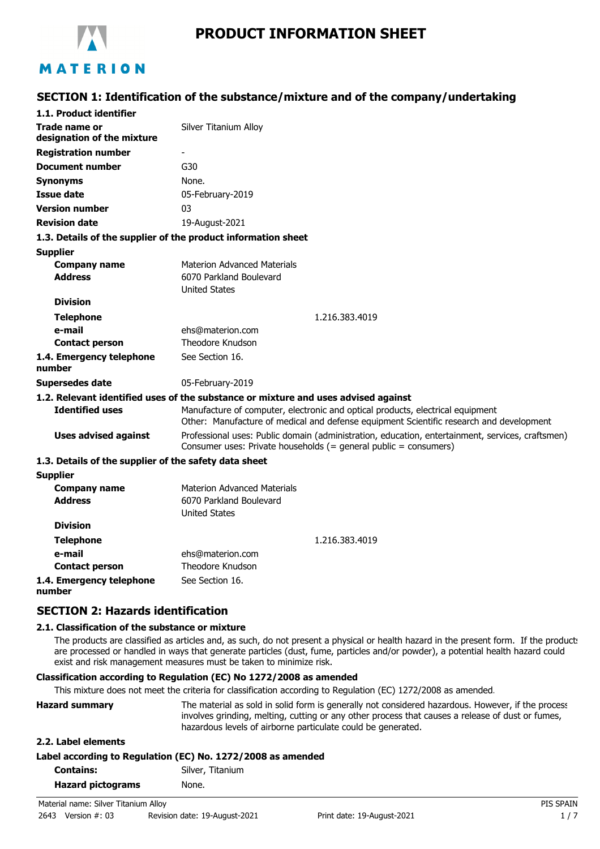

# **PRODUCT INFORMATION SHEET**

# **SECTION 1: Identification of the substance/mixture and of the company/undertaking**

| 1.1. Product identifier                                       |                                                                                                                                                                           |
|---------------------------------------------------------------|---------------------------------------------------------------------------------------------------------------------------------------------------------------------------|
| Trade name or<br>designation of the mixture                   | Silver Titanium Alloy                                                                                                                                                     |
| <b>Registration number</b>                                    |                                                                                                                                                                           |
| <b>Document number</b>                                        | G30                                                                                                                                                                       |
| <b>Synonyms</b>                                               | None.                                                                                                                                                                     |
| Issue date                                                    | 05-February-2019                                                                                                                                                          |
| <b>Version number</b>                                         | 03                                                                                                                                                                        |
| <b>Revision date</b>                                          | 19-August-2021                                                                                                                                                            |
| 1.3. Details of the supplier of the product information sheet |                                                                                                                                                                           |
| <b>Supplier</b>                                               |                                                                                                                                                                           |
| <b>Company name</b>                                           | <b>Materion Advanced Materials</b>                                                                                                                                        |
| <b>Address</b>                                                | 6070 Parkland Boulevard<br><b>United States</b>                                                                                                                           |
| <b>Division</b>                                               |                                                                                                                                                                           |
| <b>Telephone</b>                                              | 1.216.383.4019                                                                                                                                                            |
| e-mail                                                        | ehs@materion.com                                                                                                                                                          |
| <b>Contact person</b>                                         | Theodore Knudson                                                                                                                                                          |
| 1.4. Emergency telephone<br>number                            | See Section 16.                                                                                                                                                           |
| <b>Supersedes date</b>                                        | 05-February-2019                                                                                                                                                          |
|                                                               | 1.2. Relevant identified uses of the substance or mixture and uses advised against                                                                                        |
| <b>Identified uses</b>                                        | Manufacture of computer, electronic and optical products, electrical equipment<br>Other: Manufacture of medical and defense equipment Scientific research and development |
| <b>Uses advised against</b>                                   | Professional uses: Public domain (administration, education, entertainment, services, craftsmen)<br>Consumer uses: Private households (= general public = consumers)      |
| 1.3. Details of the supplier of the safety data sheet         |                                                                                                                                                                           |
| <b>Supplier</b>                                               |                                                                                                                                                                           |
| <b>Company name</b>                                           | <b>Materion Advanced Materials</b>                                                                                                                                        |
| <b>Address</b>                                                | 6070 Parkland Boulevard<br><b>United States</b>                                                                                                                           |
| <b>Division</b>                                               |                                                                                                                                                                           |
| <b>Telephone</b>                                              | 1.216.383.4019                                                                                                                                                            |
| e-mail                                                        | ehs@materion.com                                                                                                                                                          |
| <b>Contact person</b>                                         | Theodore Knudson                                                                                                                                                          |
| 1.4. Emergency telephone                                      | See Section 16.                                                                                                                                                           |

#### **number**

### **SECTION 2: Hazards identification**

#### **2.1. Classification of the substance or mixture**

The products are classified as articles and, as such, do not present a physical or health hazard in the present form. If the products are processed or handled in ways that generate particles (dust, fume, particles and/or powder), a potential health hazard could exist and risk management measures must be taken to minimize risk.

### **Classification according to Regulation (EC) No 1272/2008 as amended**

This mixture does not meet the criteria for classification according to Regulation (EC) 1272/2008 as amended.

| <b>Hazard summary</b>    | The material as sold in solid form is generally not considered hazardous. However, if the process<br>involves grinding, melting, cutting or any other process that causes a release of dust or fumes,<br>hazardous levels of airborne particulate could be generated. |
|--------------------------|-----------------------------------------------------------------------------------------------------------------------------------------------------------------------------------------------------------------------------------------------------------------------|
| 2.2. Label elements      |                                                                                                                                                                                                                                                                       |
|                          | Label according to Regulation (EC) No. 1272/2008 as amended                                                                                                                                                                                                           |
| <b>Contains:</b>         | Silver, Titanium                                                                                                                                                                                                                                                      |
| <b>Hazard pictograms</b> | None.                                                                                                                                                                                                                                                                 |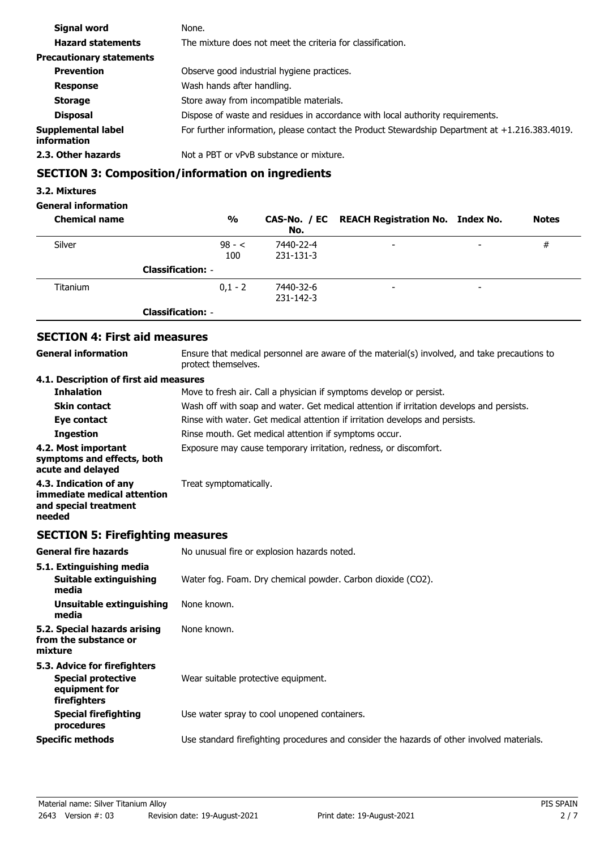| Signal word                              | None.                                                                                             |
|------------------------------------------|---------------------------------------------------------------------------------------------------|
| <b>Hazard statements</b>                 | The mixture does not meet the criteria for classification.                                        |
| <b>Precautionary statements</b>          |                                                                                                   |
| <b>Prevention</b>                        | Observe good industrial hygiene practices.                                                        |
| <b>Response</b>                          | Wash hands after handling.                                                                        |
| <b>Storage</b>                           | Store away from incompatible materials.                                                           |
| <b>Disposal</b>                          | Dispose of waste and residues in accordance with local authority requirements.                    |
| Supplemental label<br><i>information</i> | For further information, please contact the Product Stewardship Department at $+1.216.383.4019$ . |
| 2.3. Other hazards                       | Not a PBT or vPvB substance or mixture.                                                           |

# **SECTION 3: Composition/information on ingredients**

### **3.2. Mixtures**

### **General information**

| <b>Chemical name</b> | $\frac{0}{0}$            | No.                          | CAS-No. / EC REACH Registration No. Index No. |                          | <b>Notes</b> |
|----------------------|--------------------------|------------------------------|-----------------------------------------------|--------------------------|--------------|
| Silver               | $98 - c$<br>100          | 7440-22-4<br>231-131-3       | $\overline{\phantom{a}}$                      | -                        | #            |
|                      | <b>Classification: -</b> |                              |                                               |                          |              |
| Titanium             | $0.1 - 2$                | 7440-32-6<br>$231 - 142 - 3$ | $\overline{\phantom{a}}$                      | $\overline{\phantom{a}}$ |              |
|                      | <b>Classification: -</b> |                              |                                               |                          |              |

## **SECTION 4: First aid measures**

**General information**

Ensure that medical personnel are aware of the material(s) involved, and take precautions to protect themselves.

### **4.1. Description of first aid measures**

| <b>Inhalation</b>                                                                        | Move to fresh air. Call a physician if symptoms develop or persist.                      |
|------------------------------------------------------------------------------------------|------------------------------------------------------------------------------------------|
| <b>Skin contact</b>                                                                      | Wash off with soap and water. Get medical attention if irritation develops and persists. |
| Eye contact                                                                              | Rinse with water. Get medical attention if irritation develops and persists.             |
| <b>Ingestion</b>                                                                         | Rinse mouth. Get medical attention if symptoms occur.                                    |
| 4.2. Most important<br>symptoms and effects, both<br>acute and delayed                   | Exposure may cause temporary irritation, redness, or discomfort.                         |
| 4.3. Indication of any<br>immediate medical attention<br>and special treatment<br>needed | Treat symptomatically.                                                                   |

# **SECTION 5: Firefighting measures**

| <b>General fire hazards</b>                                                                | No unusual fire or explosion hazards noted.                                                |
|--------------------------------------------------------------------------------------------|--------------------------------------------------------------------------------------------|
| 5.1. Extinguishing media<br>Suitable extinguishing<br>media                                | Water fog. Foam. Dry chemical powder. Carbon dioxide (CO2).                                |
| Unsuitable extinguishing<br>media                                                          | None known.                                                                                |
| 5.2. Special hazards arising<br>from the substance or<br>mixture                           | None known.                                                                                |
| 5.3. Advice for firefighters<br><b>Special protective</b><br>equipment for<br>firefighters | Wear suitable protective equipment.                                                        |
| <b>Special firefighting</b><br>procedures                                                  | Use water spray to cool unopened containers.                                               |
| <b>Specific methods</b>                                                                    | Use standard firefighting procedures and consider the hazards of other involved materials. |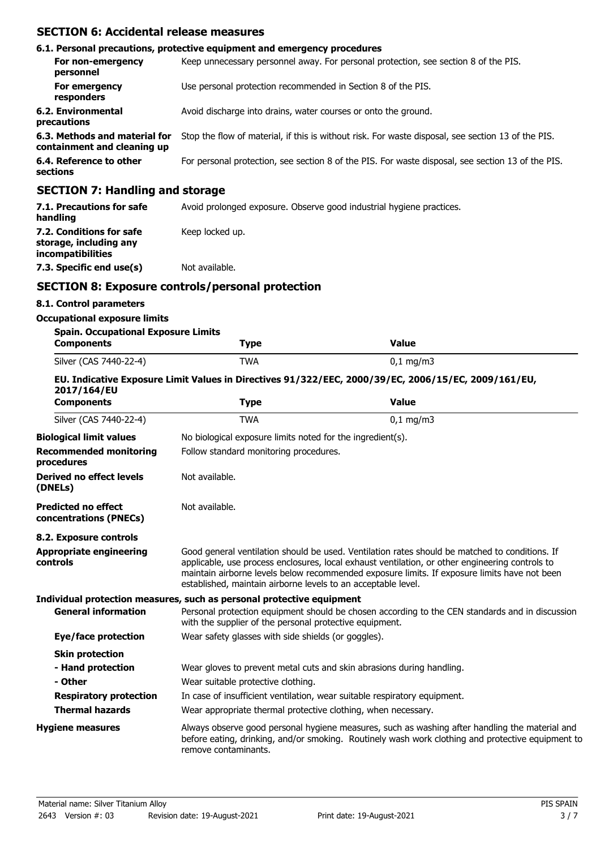### **SECTION 6: Accidental release measures**

|                                                              | 6.1. Personal precautions, protective equipment and emergency procedures                           |
|--------------------------------------------------------------|----------------------------------------------------------------------------------------------------|
| For non-emergency<br>personnel                               | Keep unnecessary personnel away. For personal protection, see section 8 of the PIS.                |
| For emergency<br>responders                                  | Use personal protection recommended in Section 8 of the PIS.                                       |
| 6.2. Environmental<br>precautions                            | Avoid discharge into drains, water courses or onto the ground.                                     |
| 6.3. Methods and material for<br>containment and cleaning up | Stop the flow of material, if this is without risk. For waste disposal, see section 13 of the PIS. |
| 6.4. Reference to other<br>sections                          | For personal protection, see section 8 of the PIS. For waste disposal, see section 13 of the PIS.  |
| <b>SECTION 7: Handling and storage</b>                       |                                                                                                    |
| 7.1 Drecautions for safe                                     | Avoid prolonged expecure. Observe good industrial bygiene practices                                |

| 7.1. Precautions for safe<br>handling                                   | Avoid prolonged exposure. Observe good industrial hygiene practices. |
|-------------------------------------------------------------------------|----------------------------------------------------------------------|
| 7.2. Conditions for safe<br>storage, including any<br>incompatibilities | Keep locked up.                                                      |
| 7.3. Specific end use(s)                                                | Not available.                                                       |

## **SECTION 8: Exposure controls/personal protection**

### **8.1. Control parameters**

#### **Occupational exposure limits**

| <b>Spain. Occupational Exposure Limits</b> |            |                         |
|--------------------------------------------|------------|-------------------------|
| Components                                 | Type       | Value                   |
| Silver (CAS 7440-22-4)                     | <b>TWA</b> | $0.1 \,\mathrm{mq/m}$ 3 |

#### **EU. Indicative Exposure Limit Values in Directives 91/322/EEC, 2000/39/EC, 2006/15/EC, 2009/161/EU, 2017/164/EU**

| <b>Components</b>                                    | <b>Type</b>                                                           | <b>Value</b>                                                                                                                                                                                                                                                                                      |  |
|------------------------------------------------------|-----------------------------------------------------------------------|---------------------------------------------------------------------------------------------------------------------------------------------------------------------------------------------------------------------------------------------------------------------------------------------------|--|
| Silver (CAS 7440-22-4)                               | <b>TWA</b>                                                            | $0,1$ mg/m3                                                                                                                                                                                                                                                                                       |  |
| <b>Biological limit values</b>                       | No biological exposure limits noted for the ingredient(s).            |                                                                                                                                                                                                                                                                                                   |  |
| <b>Recommended monitoring</b><br>procedures          | Follow standard monitoring procedures.                                |                                                                                                                                                                                                                                                                                                   |  |
| Derived no effect levels<br>(DNELs)                  | Not available.                                                        |                                                                                                                                                                                                                                                                                                   |  |
| <b>Predicted no effect</b><br>concentrations (PNECs) | Not available.                                                        |                                                                                                                                                                                                                                                                                                   |  |
| 8.2. Exposure controls                               |                                                                       |                                                                                                                                                                                                                                                                                                   |  |
| <b>Appropriate engineering</b><br>controls           | established, maintain airborne levels to an acceptable level.         | Good general ventilation should be used. Ventilation rates should be matched to conditions. If<br>applicable, use process enclosures, local exhaust ventilation, or other engineering controls to<br>maintain airborne levels below recommended exposure limits. If exposure limits have not been |  |
|                                                      | Individual protection measures, such as personal protective equipment |                                                                                                                                                                                                                                                                                                   |  |
| <b>General information</b>                           | with the supplier of the personal protective equipment.               | Personal protection equipment should be chosen according to the CEN standards and in discussion                                                                                                                                                                                                   |  |
| <b>Eye/face protection</b>                           | Wear safety glasses with side shields (or goggles).                   |                                                                                                                                                                                                                                                                                                   |  |
| <b>Skin protection</b>                               |                                                                       |                                                                                                                                                                                                                                                                                                   |  |
| - Hand protection<br>- Other                         | Wear suitable protective clothing.                                    | Wear gloves to prevent metal cuts and skin abrasions during handling.                                                                                                                                                                                                                             |  |
| <b>Respiratory protection</b>                        |                                                                       | In case of insufficient ventilation, wear suitable respiratory equipment.                                                                                                                                                                                                                         |  |
| <b>Thermal hazards</b>                               | Wear appropriate thermal protective clothing, when necessary.         |                                                                                                                                                                                                                                                                                                   |  |
| <b>Hygiene measures</b>                              | remove contaminants.                                                  | Always observe good personal hygiene measures, such as washing after handling the material and<br>before eating, drinking, and/or smoking. Routinely wash work clothing and protective equipment to                                                                                               |  |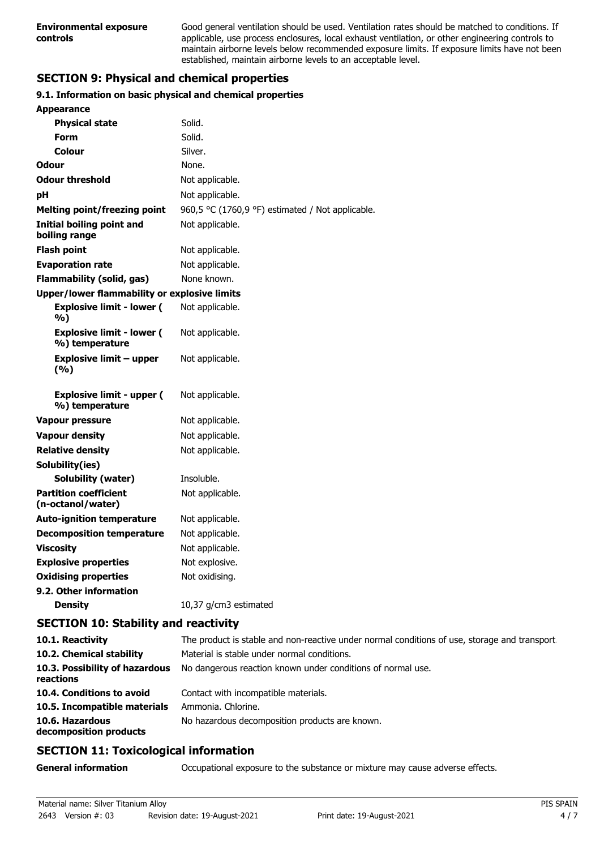Good general ventilation should be used. Ventilation rates should be matched to conditions. If applicable, use process enclosures, local exhaust ventilation, or other engineering controls to maintain airborne levels below recommended exposure limits. If exposure limits have not been established, maintain airborne levels to an acceptable level.

# **SECTION 9: Physical and chemical properties**

### **9.1. Information on basic physical and chemical properties**

| <b>Appearance</b>                                   |                                                  |  |
|-----------------------------------------------------|--------------------------------------------------|--|
| <b>Physical state</b>                               | Solid.                                           |  |
| Form                                                | Solid.                                           |  |
| Colour                                              | Silver.                                          |  |
| Odour                                               | None.                                            |  |
| <b>Odour threshold</b>                              | Not applicable.                                  |  |
| рH                                                  | Not applicable.                                  |  |
| <b>Melting point/freezing point</b>                 | 960,5 °C (1760,9 °F) estimated / Not applicable. |  |
| <b>Initial boiling point and</b><br>boiling range   | Not applicable.                                  |  |
| <b>Flash point</b>                                  | Not applicable.                                  |  |
| <b>Evaporation rate</b>                             | Not applicable.                                  |  |
| <b>Flammability (solid, gas)</b>                    | None known.                                      |  |
| <b>Upper/lower flammability or explosive limits</b> |                                                  |  |
| <b>Explosive limit - lower (</b><br>%)              | Not applicable.                                  |  |
| <b>Explosive limit - lower (</b><br>%) temperature  | Not applicable.                                  |  |
| <b>Explosive limit - upper</b><br>(%)               | Not applicable.                                  |  |
| <b>Explosive limit - upper (</b><br>%) temperature  | Not applicable.                                  |  |
| <b>Vapour pressure</b>                              | Not applicable.                                  |  |
| <b>Vapour density</b>                               | Not applicable.                                  |  |
| <b>Relative density</b>                             | Not applicable.                                  |  |
| Solubility(ies)                                     |                                                  |  |
| <b>Solubility (water)</b>                           | Insoluble.                                       |  |
| <b>Partition coefficient</b><br>(n-octanol/water)   | Not applicable.                                  |  |
| <b>Auto-ignition temperature</b>                    | Not applicable.                                  |  |
| <b>Decomposition temperature</b>                    | Not applicable.                                  |  |
| <b>Viscosity</b>                                    | Not applicable.                                  |  |
| <b>Explosive properties</b>                         | Not explosive.                                   |  |
| <b>Oxidising properties</b>                         | Not oxidising.                                   |  |
| 9.2. Other information                              |                                                  |  |
| <b>Density</b>                                      | 10,37 g/cm3 estimated                            |  |

# **SECTION 10: Stability and reactivity**

| 10.1. Reactivity                            | The product is stable and non-reactive under normal conditions of use, storage and transport. |
|---------------------------------------------|-----------------------------------------------------------------------------------------------|
| 10.2. Chemical stability                    | Material is stable under normal conditions.                                                   |
| 10.3. Possibility of hazardous<br>reactions | No dangerous reaction known under conditions of normal use.                                   |
| 10.4. Conditions to avoid                   | Contact with incompatible materials.                                                          |
| 10.5. Incompatible materials                | Ammonia. Chlorine.                                                                            |
| 10.6. Hazardous<br>decomposition products   | No hazardous decomposition products are known.                                                |

# **SECTION 11: Toxicological information**

**General information CCCUPATION** Occupational exposure to the substance or mixture may cause adverse effects.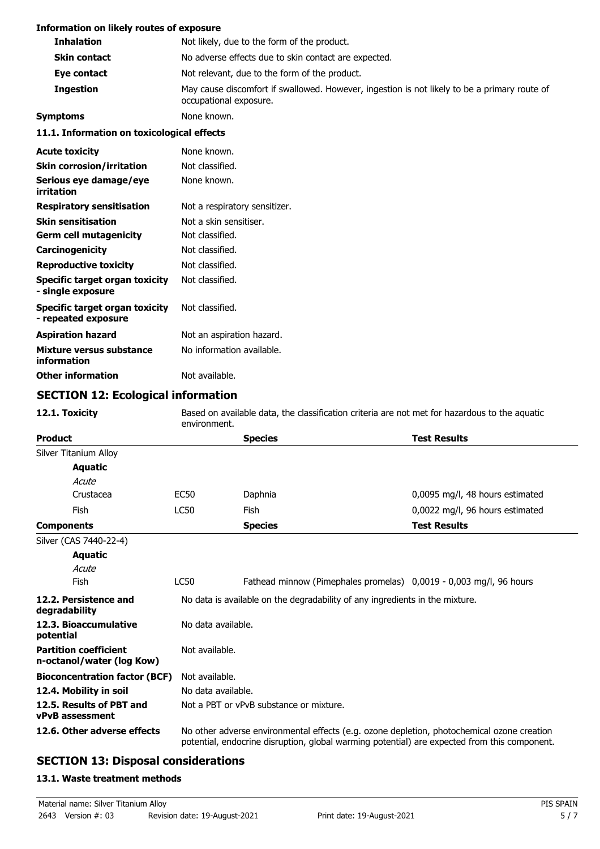### **Information on likely routes of exposure**

| INTER THROUGH THE TRUCK TO LEAD THE TH                |                                                                                                                        |  |  |
|-------------------------------------------------------|------------------------------------------------------------------------------------------------------------------------|--|--|
| <b>Inhalation</b>                                     | Not likely, due to the form of the product.                                                                            |  |  |
| <b>Skin contact</b>                                   | No adverse effects due to skin contact are expected.                                                                   |  |  |
| Eye contact                                           | Not relevant, due to the form of the product.                                                                          |  |  |
| <b>Ingestion</b>                                      | May cause discomfort if swallowed. However, ingestion is not likely to be a primary route of<br>occupational exposure. |  |  |
| <b>Symptoms</b>                                       | None known.                                                                                                            |  |  |
| 11.1. Information on toxicological effects            |                                                                                                                        |  |  |
| <b>Acute toxicity</b>                                 | None known.                                                                                                            |  |  |
| <b>Skin corrosion/irritation</b>                      | Not classified.                                                                                                        |  |  |
| Serious eye damage/eye<br>irritation                  | None known.                                                                                                            |  |  |
| <b>Respiratory sensitisation</b>                      | Not a respiratory sensitizer.                                                                                          |  |  |
| <b>Skin sensitisation</b>                             | Not a skin sensitiser.                                                                                                 |  |  |
| <b>Germ cell mutagenicity</b>                         | Not classified.                                                                                                        |  |  |
| Carcinogenicity                                       | Not classified.                                                                                                        |  |  |
| <b>Reproductive toxicity</b>                          | Not classified.                                                                                                        |  |  |
| Specific target organ toxicity<br>- single exposure   | Not classified.                                                                                                        |  |  |
| Specific target organ toxicity<br>- repeated exposure | Not classified.                                                                                                        |  |  |
| <b>Aspiration hazard</b>                              | Not an aspiration hazard.                                                                                              |  |  |
| Mixture versus substance<br>information               | No information available.                                                                                              |  |  |
| <b>Other information</b>                              | Not available.                                                                                                         |  |  |

# **SECTION 12: Ecological information**

| 12.1. Toxicity                                            | Based on available data, the classification criteria are not met for hazardous to the aquatic<br>environment.                                                                              |                                                                    |                                 |  |
|-----------------------------------------------------------|--------------------------------------------------------------------------------------------------------------------------------------------------------------------------------------------|--------------------------------------------------------------------|---------------------------------|--|
| <b>Product</b>                                            |                                                                                                                                                                                            | <b>Species</b>                                                     | <b>Test Results</b>             |  |
| Silver Titanium Alloy                                     |                                                                                                                                                                                            |                                                                    |                                 |  |
| <b>Aquatic</b>                                            |                                                                                                                                                                                            |                                                                    |                                 |  |
| Acute                                                     |                                                                                                                                                                                            |                                                                    |                                 |  |
| Crustacea                                                 | EC50                                                                                                                                                                                       | Daphnia                                                            | 0,0095 mg/l, 48 hours estimated |  |
| Fish                                                      | <b>LC50</b>                                                                                                                                                                                | Fish                                                               | 0,0022 mg/l, 96 hours estimated |  |
| <b>Components</b>                                         |                                                                                                                                                                                            | <b>Species</b>                                                     | <b>Test Results</b>             |  |
| Silver (CAS 7440-22-4)                                    |                                                                                                                                                                                            |                                                                    |                                 |  |
| <b>Aquatic</b>                                            |                                                                                                                                                                                            |                                                                    |                                 |  |
| Acute                                                     |                                                                                                                                                                                            |                                                                    |                                 |  |
| Fish                                                      | <b>LC50</b>                                                                                                                                                                                | Fathead minnow (Pimephales promelas) 0,0019 - 0,003 mg/l, 96 hours |                                 |  |
| 12.2. Persistence and<br>degradability                    | No data is available on the degradability of any ingredients in the mixture.                                                                                                               |                                                                    |                                 |  |
| 12.3. Bioaccumulative<br>potential                        | No data available.                                                                                                                                                                         |                                                                    |                                 |  |
| <b>Partition coefficient</b><br>n-octanol/water (log Kow) | Not available.                                                                                                                                                                             |                                                                    |                                 |  |
| <b>Bioconcentration factor (BCF)</b>                      | Not available.                                                                                                                                                                             |                                                                    |                                 |  |
| 12.4. Mobility in soil                                    | No data available.                                                                                                                                                                         |                                                                    |                                 |  |
| 12.5. Results of PBT and<br><b>vPvB</b> assessment        | Not a PBT or vPvB substance or mixture.                                                                                                                                                    |                                                                    |                                 |  |
| 12.6. Other adverse effects                               | No other adverse environmental effects (e.g. ozone depletion, photochemical ozone creation<br>potential, endocrine disruption, global warming potential) are expected from this component. |                                                                    |                                 |  |

# **SECTION 13: Disposal considerations**

## **13.1. Waste treatment methods**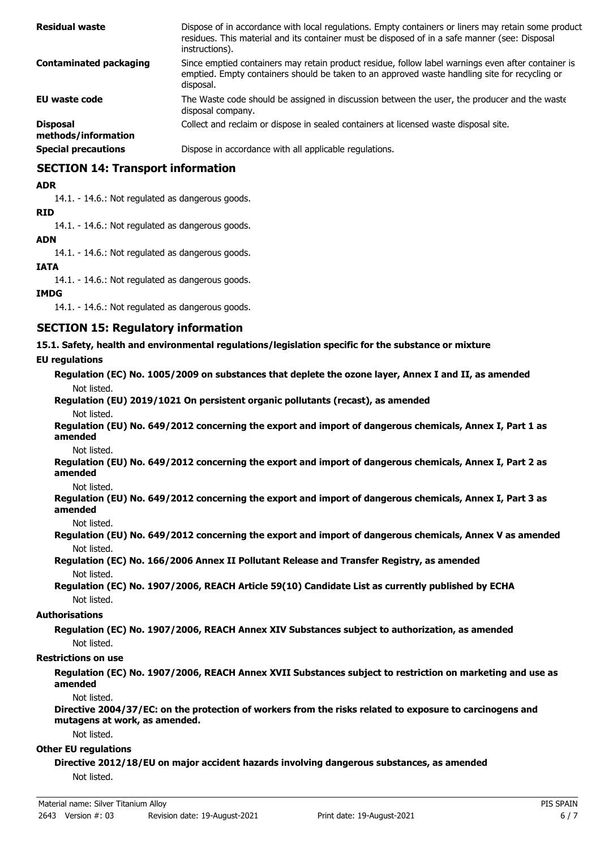| <b>Residual waste</b>                  | Dispose of in accordance with local regulations. Empty containers or liners may retain some product<br>residues. This material and its container must be disposed of in a safe manner (see: Disposal<br>instructions). |
|----------------------------------------|------------------------------------------------------------------------------------------------------------------------------------------------------------------------------------------------------------------------|
| <b>Contaminated packaging</b>          | Since emptied containers may retain product residue, follow label warnings even after container is<br>emptied. Empty containers should be taken to an approved waste handling site for recycling or<br>disposal.       |
| <b>EU waste code</b>                   | The Waste code should be assigned in discussion between the user, the producer and the waste<br>disposal company.                                                                                                      |
| <b>Disposal</b><br>methods/information | Collect and reclaim or dispose in sealed containers at licensed waste disposal site.                                                                                                                                   |
| <b>Special precautions</b>             | Dispose in accordance with all applicable regulations.                                                                                                                                                                 |

# **SECTION 14: Transport information**

#### **ADR**

14.1. - 14.6.: Not regulated as dangerous goods.

#### **RID**

14.1. - 14.6.: Not regulated as dangerous goods.

### **ADN**

14.1. - 14.6.: Not regulated as dangerous goods.

### **IATA**

14.1. - 14.6.: Not regulated as dangerous goods.

### **IMDG**

14.1. - 14.6.: Not regulated as dangerous goods.

## **SECTION 15: Regulatory information**

**15.1. Safety, health and environmental regulations/legislation specific for the substance or mixture**

### **EU regulations**

**Regulation (EC) No. 1005/2009 on substances that deplete the ozone layer, Annex I and II, as amended** Not listed.

# **Regulation (EU) 2019/1021 On persistent organic pollutants (recast), as amended**

Not listed.

**Regulation (EU) No. 649/2012 concerning the export and import of dangerous chemicals, Annex I, Part 1 as amended**

Not listed.

**Regulation (EU) No. 649/2012 concerning the export and import of dangerous chemicals, Annex I, Part 2 as amended**

Not listed.

**Regulation (EU) No. 649/2012 concerning the export and import of dangerous chemicals, Annex I, Part 3 as amended**

Not listed.

**Regulation (EU) No. 649/2012 concerning the export and import of dangerous chemicals, Annex V as amended** Not listed.

**Regulation (EC) No. 166/2006 Annex II Pollutant Release and Transfer Registry, as amended** Not listed.

**Regulation (EC) No. 1907/2006, REACH Article 59(10) Candidate List as currently published by ECHA** Not listed.

### **Authorisations**

**Regulation (EC) No. 1907/2006, REACH Annex XIV Substances subject to authorization, as amended** Not listed.

#### **Restrictions on use**

**Regulation (EC) No. 1907/2006, REACH Annex XVII Substances subject to restriction on marketing and use as amended**

Not listed.

**Directive 2004/37/EC: on the protection of workers from the risks related to exposure to carcinogens and mutagens at work, as amended.**

Not listed.

#### **Other EU regulations**

**Directive 2012/18/EU on major accident hazards involving dangerous substances, as amended** Not listed.